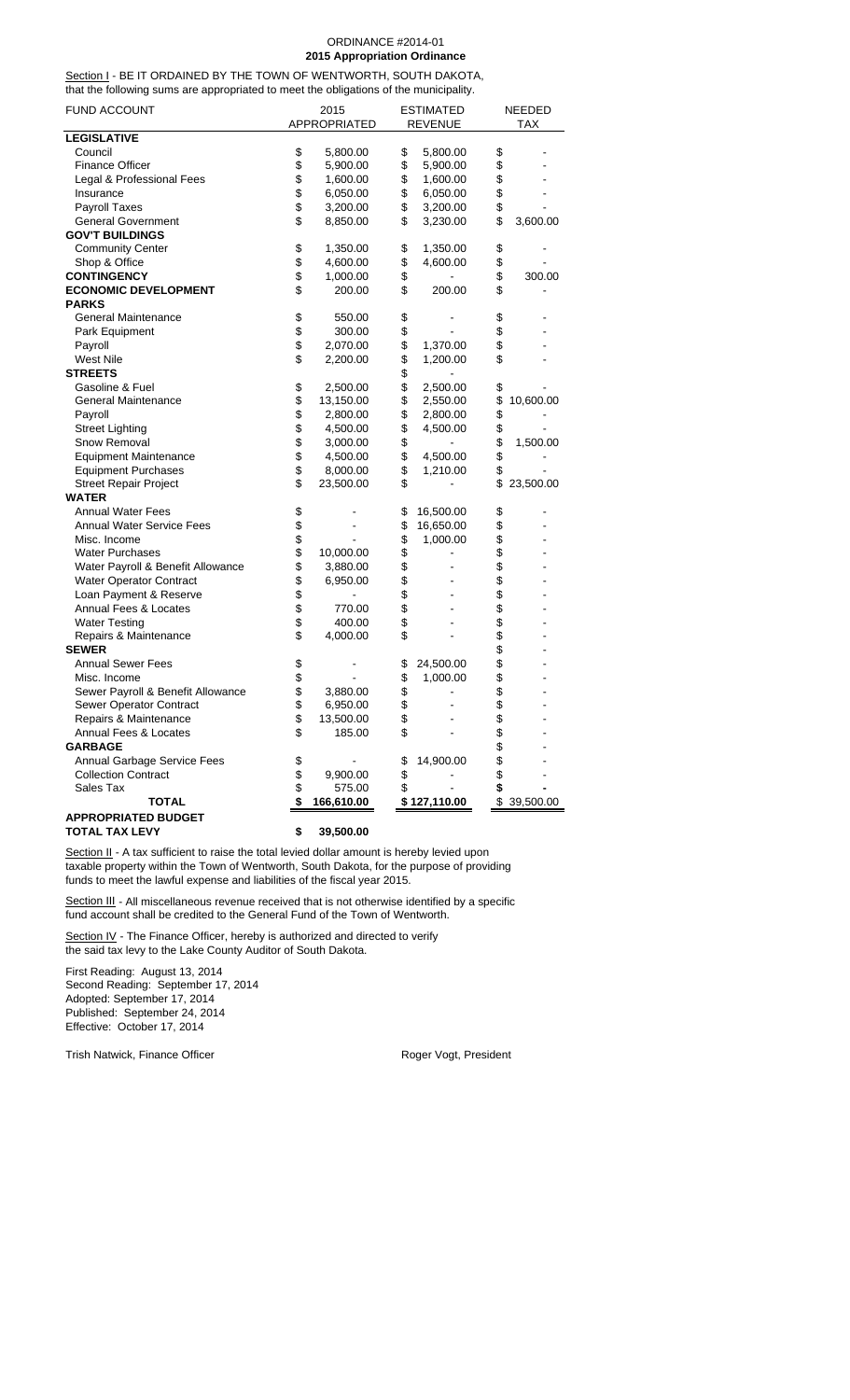#### ORDINANCE #2014-01 **2015 Appropriation Ordinance**

Section I - BE IT ORDAINED BY THE TOWN OF WENTWORTH, SOUTH DAKOTA, that the following sums are appropriated to meet the obligations of the municipality.

| <b>FUND ACCOUNT</b>               |                  | 2015<br>APPROPRIATED |          | ESTIMATED<br><b>REVENUE</b> |          | NEEDED<br><b>TAX</b> |
|-----------------------------------|------------------|----------------------|----------|-----------------------------|----------|----------------------|
| <b>LEGISLATIVE</b>                |                  |                      |          |                             |          |                      |
| Council                           | \$               | 5,800.00             | \$       | 5,800.00                    | \$       |                      |
| <b>Finance Officer</b>            | \$               | 5,900.00             | \$       | 5,900.00                    | \$       |                      |
| Legal & Professional Fees         | \$               | 1,600.00             | \$       | 1,600.00                    | \$       |                      |
| Insurance                         | \$               | 6,050.00             | \$       | 6,050.00                    | \$       |                      |
| Payroll Taxes                     | \$               | 3,200.00             | \$       | 3,200.00                    | \$       |                      |
| <b>General Government</b>         | \$               | 8,850.00             | \$       | 3,230.00                    | \$       | 3,600.00             |
| <b>GOV'T BUILDINGS</b>            |                  |                      |          |                             |          |                      |
|                                   | \$               |                      |          |                             |          |                      |
| <b>Community Center</b>           | \$               | 1,350.00             | \$       | 1,350.00                    | \$       |                      |
| Shop & Office                     |                  | 4,600.00             | \$       | 4,600.00                    | \$       |                      |
| <b>CONTINGENCY</b>                | \$<br>$\ddot{s}$ | 1,000.00             | \$       |                             | \$       | 300.00               |
| <b>ECONOMIC DEVELOPMENT</b>       |                  | 200.00               | \$       | 200.00                      | \$       |                      |
| <b>PARKS</b>                      |                  |                      |          |                             |          |                      |
| <b>General Maintenance</b>        | \$               | 550.00               | \$       |                             | \$       |                      |
| Park Equipment                    | \$               | 300.00               | \$       |                             | \$       |                      |
| Payroll                           | \$               | 2,070.00             | \$       | 1,370.00                    | \$       |                      |
| <b>West Nile</b>                  | \$               | 2,200.00             | \$       | 1,200.00                    | \$       |                      |
| <b>STREETS</b>                    |                  |                      | \$       |                             |          |                      |
| Gasoline & Fuel                   | \$               | 2,500.00             | \$       | 2,500.00                    | \$       |                      |
| <b>General Maintenance</b>        | \$               | 13,150.00            | \$       | 2,550.00                    | \$       | 10,600.00            |
| Payroll                           | \$               | 2,800.00             | \$       | 2,800.00                    | \$       |                      |
| <b>Street Lighting</b>            | \$               | 4,500.00             | \$       | 4,500.00                    | \$       |                      |
| Snow Removal                      | \$               | 3,000.00             | \$       |                             | \$       | 1,500.00             |
| <b>Equipment Maintenance</b>      | \$               | 4,500.00             | \$       | 4,500.00                    | \$       |                      |
| <b>Equipment Purchases</b>        | $\dot{\$}$       | 8,000.00             | \$       | 1,210.00                    | \$       |                      |
| <b>Street Repair Project</b>      | \$               | 23,500.00            | \$       |                             | \$       | 23,500.00            |
| <b>WATER</b>                      |                  |                      |          |                             |          |                      |
| <b>Annual Water Fees</b>          | \$               |                      | \$       | 16,500.00                   | \$       |                      |
| <b>Annual Water Service Fees</b>  |                  |                      | \$       | 16,650.00                   | \$       |                      |
| Misc. Income                      | \$<br>\$         |                      | \$       | 1,000.00                    | \$       |                      |
| <b>Water Purchases</b>            | \$               | 10,000.00            | \$       |                             | \$       |                      |
| Water Payroll & Benefit Allowance | \$               | 3,880.00             | \$       |                             | \$       |                      |
| Water Operator Contract           | \$               | 6,950.00             | \$       |                             | \$       |                      |
| Loan Payment & Reserve            | \$               |                      | \$       |                             | \$       |                      |
| Annual Fees & Locates             | \$               | 770.00               | \$       |                             | \$       |                      |
| <b>Water Testing</b>              | \$               | 400.00               | \$       |                             |          |                      |
| Repairs & Maintenance             | \$               | 4,000.00             | \$       |                             | \$       |                      |
| <b>SEWER</b>                      |                  |                      |          |                             | \$       |                      |
| <b>Annual Sewer Fees</b>          | \$               |                      | \$       | 24,500.00                   | \$       |                      |
| Misc. Income                      | \$               |                      | \$       | 1,000.00                    | \$       |                      |
| Sewer Payroll & Benefit Allowance | \$               | 3,880.00             | \$       |                             | \$       |                      |
| Sewer Operator Contract           | \$               | 6,950.00             | \$       |                             | \$       |                      |
| Repairs & Maintenance             | \$               | 13,500.00            | \$       |                             | \$       |                      |
| Annual Fees & Locates             | \$               | 185.00               | \$       |                             | \$       |                      |
| <b>GARBAGE</b>                    |                  |                      |          |                             |          |                      |
| Annual Garbage Service Fees       |                  |                      |          | 14,900.00                   |          |                      |
| <b>Collection Contract</b>        | \$<br>\$         |                      | \$       |                             | \$       |                      |
| Sales Tax                         | \$               | 9,900.00<br>575.00   | \$<br>\$ |                             | \$<br>\$ |                      |
| <b>TOTAL</b>                      | \$               |                      |          | \$127,110.00                |          | \$39,500.00          |
|                                   |                  | 166,610.00           |          |                             |          |                      |
| <b>APPROPRIATED BUDGET</b>        |                  |                      |          |                             |          |                      |
| <b>TOTAL TAX LEVY</b>             | \$               | 39,500.00            |          |                             |          |                      |

Section II - A tax sufficient to raise the total levied dollar amount is hereby levied upon taxable property within the Town of Wentworth, South Dakota, for the purpose of providing funds to meet the lawful expense and liabilities of the fiscal year 2015.

Section III - All miscellaneous revenue received that is not otherwise identified by a specific fund account shall be credited to the General Fund of the Town of Wentworth.

Section IV - The Finance Officer, hereby is authorized and directed to verify the said tax levy to the Lake County Auditor of South Dakota.

First Reading: August 13, 2014 Second Reading: September 17, 2014 Adopted: September 17, 2014 Published: September 24, 2014 Effective: October 17, 2014

Trish Natwick, Finance Officer **Roger Vogt, President**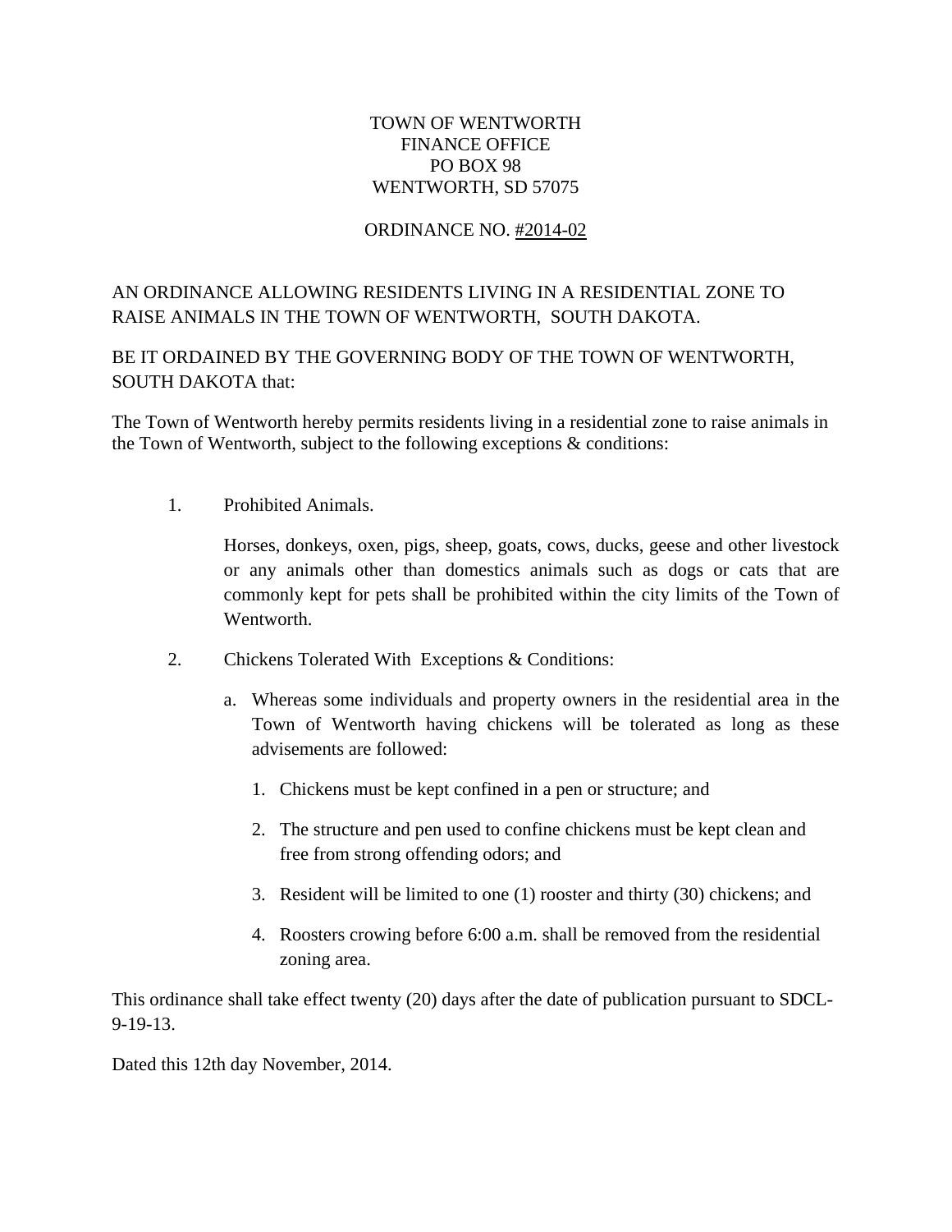### TOWN OF WENTWORTH FINANCE OFFICE PO BOX 98 WENTWORTH, SD 57075

### ORDINANCE NO. #2014-02

# AN ORDINANCE ALLOWING RESIDENTS LIVING IN A RESIDENTIAL ZONE TO RAISE ANIMALS IN THE TOWN OF WENTWORTH, SOUTH DAKOTA.

BE IT ORDAINED BY THE GOVERNING BODY OF THE TOWN OF WENTWORTH, SOUTH DAKOTA that:

The Town of Wentworth hereby permits residents living in a residential zone to raise animals in the Town of Wentworth, subject to the following exceptions  $\&$  conditions:

1. Prohibited Animals.

 Horses, donkeys, oxen, pigs, sheep, goats, cows, ducks, geese and other livestock or any animals other than domestics animals such as dogs or cats that are commonly kept for pets shall be prohibited within the city limits of the Town of Wentworth.

- 2. Chickens Tolerated With Exceptions & Conditions:
	- a. Whereas some individuals and property owners in the residential area in the Town of Wentworth having chickens will be tolerated as long as these advisements are followed:
		- 1. Chickens must be kept confined in a pen or structure; and
		- 2. The structure and pen used to confine chickens must be kept clean and free from strong offending odors; and
		- 3. Resident will be limited to one (1) rooster and thirty (30) chickens; and
		- 4. Roosters crowing before 6:00 a.m. shall be removed from the residential zoning area.

This ordinance shall take effect twenty (20) days after the date of publication pursuant to SDCL-9-19-13.

Dated this 12th day November, 2014.